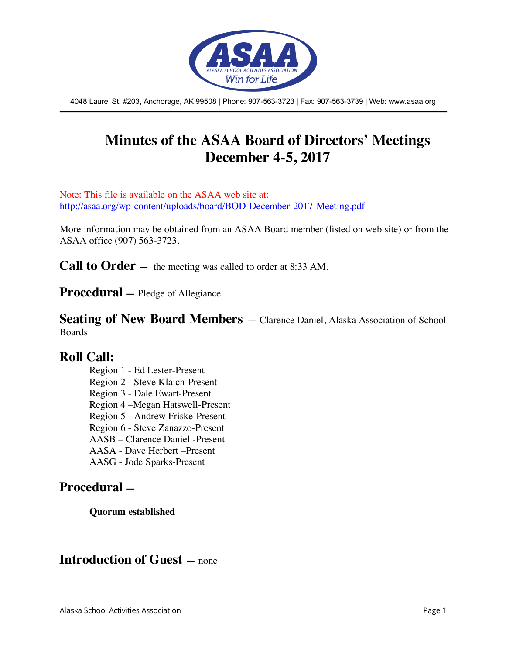

4048 Laurel St. #203, Anchorage, AK 99508 | Phone: 907-563-3723 | Fax: 907-563-3739 | Web: www.asaa.org

# **Minutes of the ASAA Board of Directors' Meetings December 4-5, 2017**

Note: This file is available on the ASAA web site at: http://asaa.org/wp-content/uploads/board/BOD-December-2017-Meeting.pdf

More information may be obtained from an ASAA Board member (listed on web site) or from the ASAA office (907) 563-3723.

**Call to Order** — the meeting was called to order at 8:33 AM.

**Procedural —** Pledge of Allegiance

**Seating of New Board Members** – Clarence Daniel, Alaska Association of School Boards

### **Roll Call:**

Region 1 - Ed Lester-Present Region 2 - Steve Klaich-Present Region 3 - Dale Ewart-Present Region 4 –Megan Hatswell-Present Region 5 - Andrew Friske-Present Region 6 - Steve Zanazzo-Present AASB – Clarence Daniel -Present AASA - Dave Herbert –Present AASG - Jode Sparks-Present

### **Procedural —**

**Quorum established**

### **Introduction of Guest —** none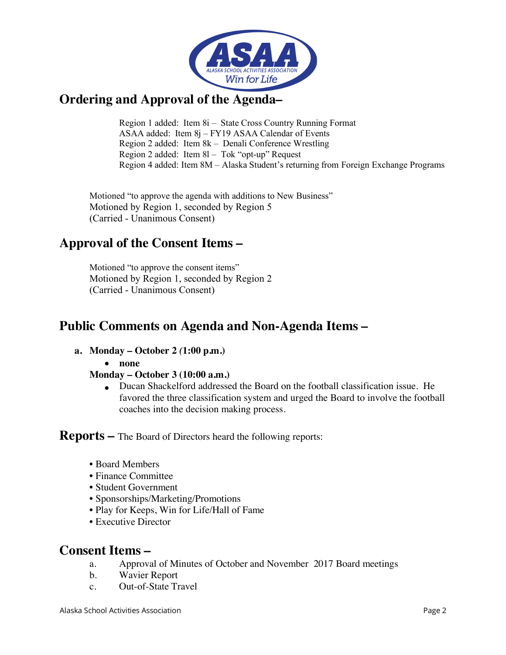

## **Ordering and Approval of the Agenda–**

Region 1 added: Item 8i – State Cross Country Running Format ASAA added: Item 8j – FY19 ASAA Calendar of Events Region 2 added: Item 8k – Denali Conference Wrestling Region 2 added: Item 8l – Tok "opt-up" Request Region 4 added: Item 8M – Alaska Student's returning from Foreign Exchange Programs

Motioned "to approve the agenda with additions to New Business" Motioned by Region 1, seconded by Region 5 (Carried - Unanimous Consent)

# **Approval of the Consent Items –**

Motioned "to approve the consent items" Motioned by Region 1, seconded by Region 2 (Carried - Unanimous Consent)

## **Public Comments on Agenda and Non-Agenda Items –**

- **a. Monday – October 2** *(***1:00 p.m.)**
	- **none**

### **Monday – October 3 (10:00 a.m.)**

• Ducan Shackelford addressed the Board on the football classification issue. He favored the three classification system and urged the Board to involve the football coaches into the decision making process.

**Reports –** The Board of Directors heard the following reports:

- Board Members
- Finance Committee
- Student Government
- Sponsorships/Marketing/Promotions
- Play for Keeps, Win for Life/Hall of Fame
- Executive Director

### **Consent Items –**

- a. Approval of Minutes of October and November 2017 Board meetings
- b. Wavier Report
- c. Out-of-State Travel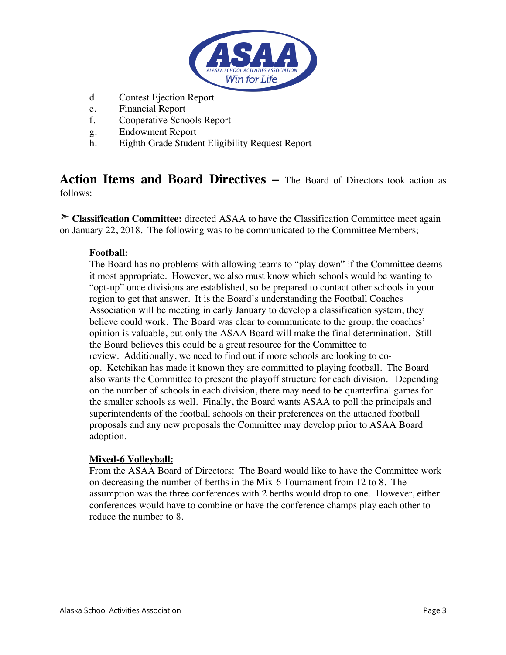

- d. Contest Ejection Report
- e. Financial Report
- f. Cooperative Schools Report
- g. Endowment Report
- h. Eighth Grade Student Eligibility Request Report

**Action Items and Board Directives –** The Board of Directors took action as follows:

➣ **Classification Committee:** directed ASAA to have the Classification Committee meet again on January 22, 2018. The following was to be communicated to the Committee Members;

### **Football:**

The Board has no problems with allowing teams to "play down" if the Committee deems it most appropriate. However, we also must know which schools would be wanting to "opt-up" once divisions are established, so be prepared to contact other schools in your region to get that answer. It is the Board's understanding the Football Coaches Association will be meeting in early January to develop a classification system, they believe could work. The Board was clear to communicate to the group, the coaches' opinion is valuable, but only the ASAA Board will make the final determination. Still the Board believes this could be a great resource for the Committee to review. Additionally, we need to find out if more schools are looking to coop. Ketchikan has made it known they are committed to playing football. The Board also wants the Committee to present the playoff structure for each division. Depending on the number of schools in each division, there may need to be quarterfinal games for the smaller schools as well. Finally, the Board wants ASAA to poll the principals and superintendents of the football schools on their preferences on the attached football proposals and any new proposals the Committee may develop prior to ASAA Board adoption.

#### **Mixed-6 Volleyball:**

From the ASAA Board of Directors: The Board would like to have the Committee work on decreasing the number of berths in the Mix-6 Tournament from 12 to 8. The assumption was the three conferences with 2 berths would drop to one. However, either conferences would have to combine or have the conference champs play each other to reduce the number to 8.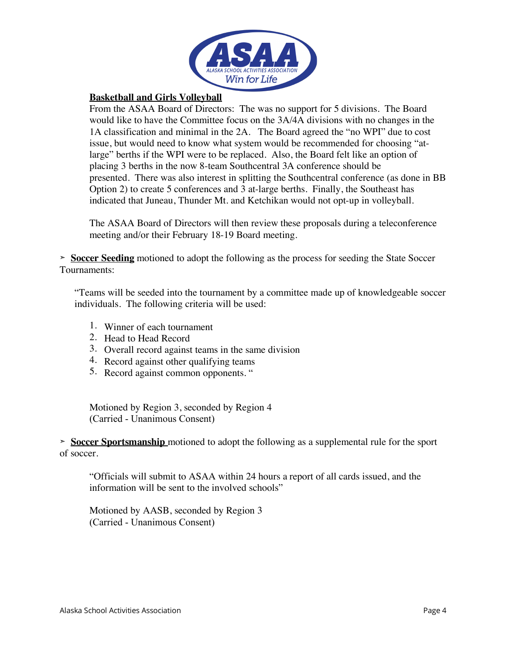

### **Basketball and Girls Volleyball**

From the ASAA Board of Directors: The was no support for 5 divisions. The Board would like to have the Committee focus on the 3A/4A divisions with no changes in the 1A classification and minimal in the 2A. The Board agreed the "no WPI" due to cost issue, but would need to know what system would be recommended for choosing "atlarge" berths if the WPI were to be replaced. Also, the Board felt like an option of placing 3 berths in the now 8-team Southcentral 3A conference should be presented. There was also interest in splitting the Southcentral conference (as done in BB Option 2) to create 5 conferences and 3 at-large berths. Finally, the Southeast has indicated that Juneau, Thunder Mt. and Ketchikan would not opt-up in volleyball.

The ASAA Board of Directors will then review these proposals during a teleconference meeting and/or their February 18-19 Board meeting.

➣ **Soccer Seeding** motioned to adopt the following as the process for seeding the State Soccer Tournaments:

"Teams will be seeded into the tournament by a committee made up of knowledgeable soccer individuals. The following criteria will be used:

- 1. Winner of each tournament
- 2. Head to Head Record
- 3. Overall record against teams in the same division
- 4. Record against other qualifying teams
- 5. Record against common opponents. "

Motioned by Region 3, seconded by Region 4 (Carried - Unanimous Consent)

➣ **Soccer Sportsmanship** motioned to adopt the following as a supplemental rule for the sport of soccer.

"Officials will submit to ASAA within 24 hours a report of all cards issued, and the information will be sent to the involved schools"

Motioned by AASB, seconded by Region 3 (Carried - Unanimous Consent)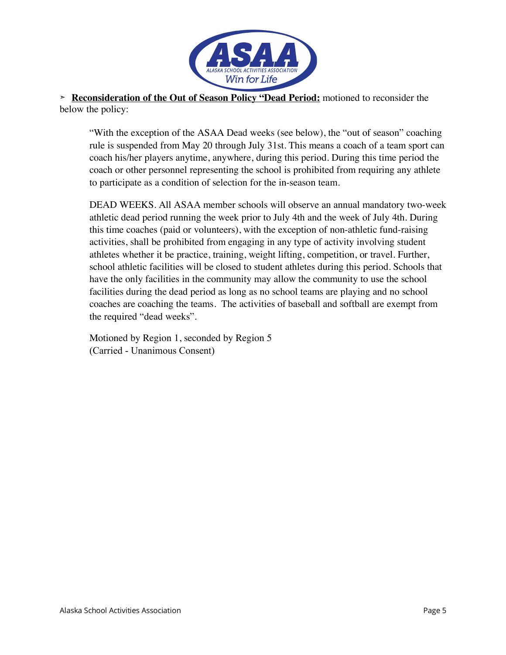

➣ **Reconsideration of the Out of Season Policy "Dead Period:** motioned to reconsider the below the policy:

"With the exception of the ASAA Dead weeks (see below), the "out of season" coaching rule is suspended from May 20 through July 31st. This means a coach of a team sport can coach his/her players anytime, anywhere, during this period. During this time period the coach or other personnel representing the school is prohibited from requiring any athlete to participate as a condition of selection for the in-season team.

DEAD WEEKS. All ASAA member schools will observe an annual mandatory two-week athletic dead period running the week prior to July 4th and the week of July 4th. During this time coaches (paid or volunteers), with the exception of non-athletic fund-raising activities, shall be prohibited from engaging in any type of activity involving student athletes whether it be practice, training, weight lifting, competition, or travel. Further, school athletic facilities will be closed to student athletes during this period. Schools that have the only facilities in the community may allow the community to use the school facilities during the dead period as long as no school teams are playing and no school coaches are coaching the teams. The activities of baseball and softball are exempt from the required "dead weeks".

Motioned by Region 1, seconded by Region 5 (Carried - Unanimous Consent)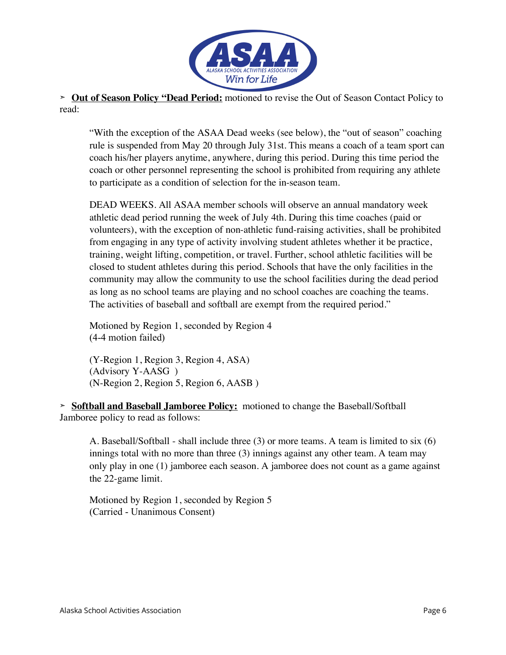

➣ **Out of Season Policy "Dead Period:** motioned to revise the Out of Season Contact Policy to read:

"With the exception of the ASAA Dead weeks (see below), the "out of season" coaching rule is suspended from May 20 through July 31st. This means a coach of a team sport can coach his/her players anytime, anywhere, during this period. During this time period the coach or other personnel representing the school is prohibited from requiring any athlete to participate as a condition of selection for the in-season team.

DEAD WEEKS. All ASAA member schools will observe an annual mandatory week athletic dead period running the week of July 4th. During this time coaches (paid or volunteers), with the exception of non-athletic fund-raising activities, shall be prohibited from engaging in any type of activity involving student athletes whether it be practice, training, weight lifting, competition, or travel. Further, school athletic facilities will be closed to student athletes during this period. Schools that have the only facilities in the community may allow the community to use the school facilities during the dead period as long as no school teams are playing and no school coaches are coaching the teams. The activities of baseball and softball are exempt from the required period."

Motioned by Region 1, seconded by Region 4 (4-4 motion failed)

(Y-Region 1, Region 3, Region 4, ASA) (Advisory Y-AASG ) (N-Region 2, Region 5, Region 6, AASB )

➣ **Softball and Baseball Jamboree Policy:** motioned to change the Baseball/Softball Jamboree policy to read as follows:

A. Baseball/Softball - shall include three (3) or more teams. A team is limited to six (6) innings total with no more than three (3) innings against any other team. A team may only play in one (1) jamboree each season. A jamboree does not count as a game against the 22-game limit.

Motioned by Region 1, seconded by Region 5 (Carried - Unanimous Consent)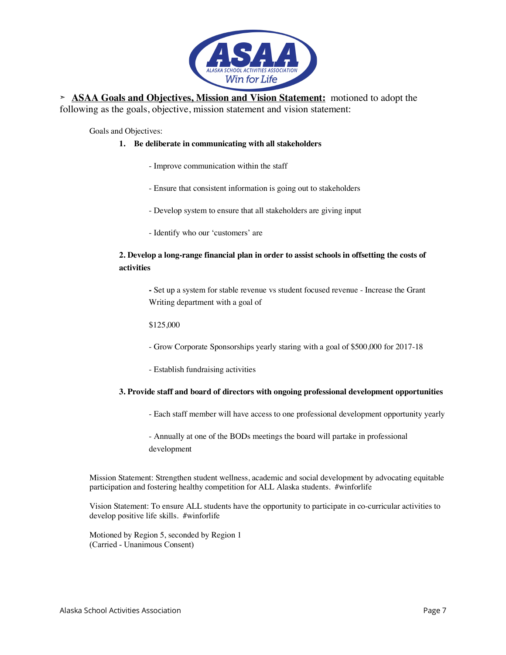

➣ **ASAA Goals and Objectives, Mission and Vision Statement:** motioned to adopt the following as the goals, objective, mission statement and vision statement:

Goals and Objectives:

#### **1. Be deliberate in communicating with all stakeholders**

- Improve communication within the staff
- Ensure that consistent information is going out to stakeholders
- Develop system to ensure that all stakeholders are giving input
- Identify who our 'customers' are

#### **2. Develop a long-range financial plan in order to assist schools in offsetting the costs of activities**

**-** Set up a system for stable revenue vs student focused revenue - Increase the Grant Writing department with a goal of

\$125,000

- Grow Corporate Sponsorships yearly staring with a goal of \$500,000 for 2017-18
- Establish fundraising activities

#### **3. Provide staff and board of directors with ongoing professional development opportunities**

- Each staff member will have access to one professional development opportunity yearly
- Annually at one of the BODs meetings the board will partake in professional development

Mission Statement: Strengthen student wellness, academic and social development by advocating equitable participation and fostering healthy competition for ALL Alaska students. #winforlife

Vision Statement: To ensure ALL students have the opportunity to participate in co-curricular activities to develop positive life skills. #winforlife

Motioned by Region 5, seconded by Region 1 (Carried - Unanimous Consent)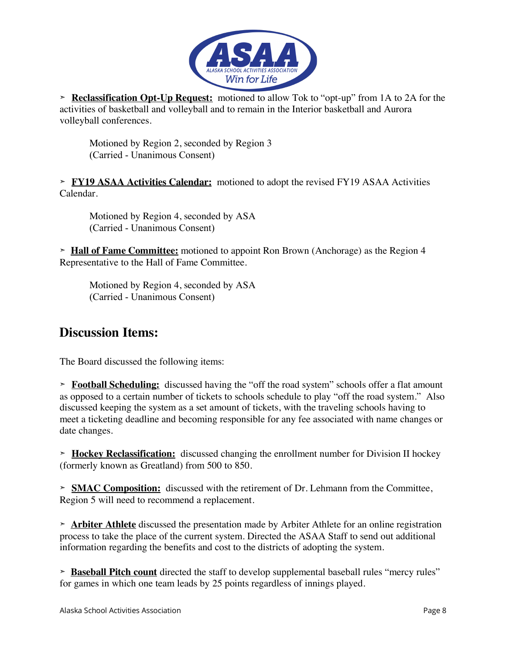

➣ **Reclassification Opt-Up Request:** motioned to allow Tok to "opt-up" from 1A to 2A for the activities of basketball and volleyball and to remain in the Interior basketball and Aurora volleyball conferences.

Motioned by Region 2, seconded by Region 3 (Carried - Unanimous Consent)

➣ **FY19 ASAA Activities Calendar:** motioned to adopt the revised FY19 ASAA Activities Calendar.

Motioned by Region 4, seconded by ASA (Carried - Unanimous Consent)

➣ **Hall of Fame Committee:** motioned to appoint Ron Brown (Anchorage) as the Region 4 Representative to the Hall of Fame Committee.

Motioned by Region 4, seconded by ASA (Carried - Unanimous Consent)

## **Discussion Items:**

The Board discussed the following items:

➣ **Football Scheduling:** discussed having the "off the road system" schools offer a flat amount as opposed to a certain number of tickets to schools schedule to play "off the road system." Also discussed keeping the system as a set amount of tickets, with the traveling schools having to meet a ticketing deadline and becoming responsible for any fee associated with name changes or date changes.

➣ **Hockey Reclassification:** discussed changing the enrollment number for Division II hockey (formerly known as Greatland) from 500 to 850.

➣ **SMAC Composition:** discussed with the retirement of Dr. Lehmann from the Committee, Region 5 will need to recommend a replacement.

➣ **Arbiter Athlete** discussed the presentation made by Arbiter Athlete for an online registration process to take the place of the current system. Directed the ASAA Staff to send out additional information regarding the benefits and cost to the districts of adopting the system.

➣ **Baseball Pitch count** directed the staff to develop supplemental baseball rules "mercy rules" for games in which one team leads by 25 points regardless of innings played.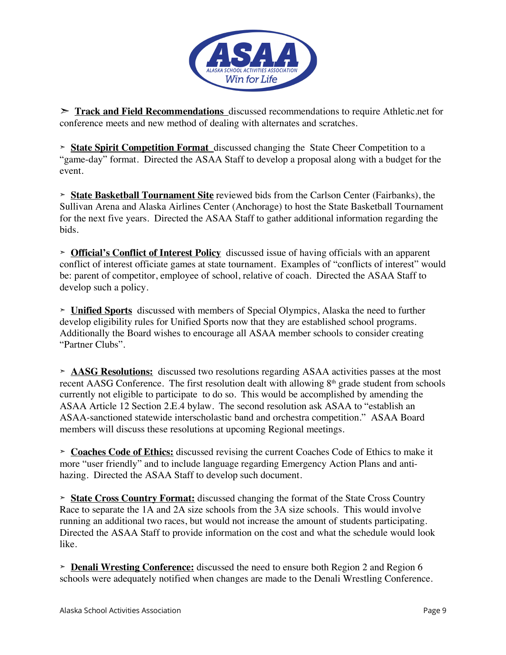

➣ **Track and Field Recommendations** discussed recommendations to require Athletic.net for conference meets and new method of dealing with alternates and scratches.

➣ **State Spirit Competition Format** discussed changing the State Cheer Competition to a "game-day" format. Directed the ASAA Staff to develop a proposal along with a budget for the event.

➣ **State Basketball Tournament Site** reviewed bids from the Carlson Center (Fairbanks), the Sullivan Arena and Alaska Airlines Center (Anchorage) to host the State Basketball Tournament for the next five years. Directed the ASAA Staff to gather additional information regarding the bids.

➣ **Official's Conflict of Interest Policy** discussed issue of having officials with an apparent conflict of interest officiate games at state tournament. Examples of "conflicts of interest" would be: parent of competitor, employee of school, relative of coach. Directed the ASAA Staff to develop such a policy.

➣ **Unified Sports** discussed with members of Special Olympics, Alaska the need to further develop eligibility rules for Unified Sports now that they are established school programs. Additionally the Board wishes to encourage all ASAA member schools to consider creating "Partner Clubs".

➣ **AASG Resolutions:** discussed two resolutions regarding ASAA activities passes at the most recent AASG Conference. The first resolution dealt with allowing  $8<sup>th</sup>$  grade student from schools currently not eligible to participate to do so. This would be accomplished by amending the ASAA Article 12 Section 2.E.4 bylaw. The second resolution ask ASAA to "establish an ASAA-sanctioned statewide interscholastic band and orchestra competition." ASAA Board members will discuss these resolutions at upcoming Regional meetings.

➣ **Coaches Code of Ethics:** discussed revising the current Coaches Code of Ethics to make it more "user friendly" and to include language regarding Emergency Action Plans and antihazing. Directed the ASAA Staff to develop such document.

➣ **State Cross Country Format:** discussed changing the format of the State Cross Country Race to separate the 1A and 2A size schools from the 3A size schools. This would involve running an additional two races, but would not increase the amount of students participating. Directed the ASAA Staff to provide information on the cost and what the schedule would look like.

➣ **Denali Wresting Conference:** discussed the need to ensure both Region 2 and Region 6 schools were adequately notified when changes are made to the Denali Wrestling Conference.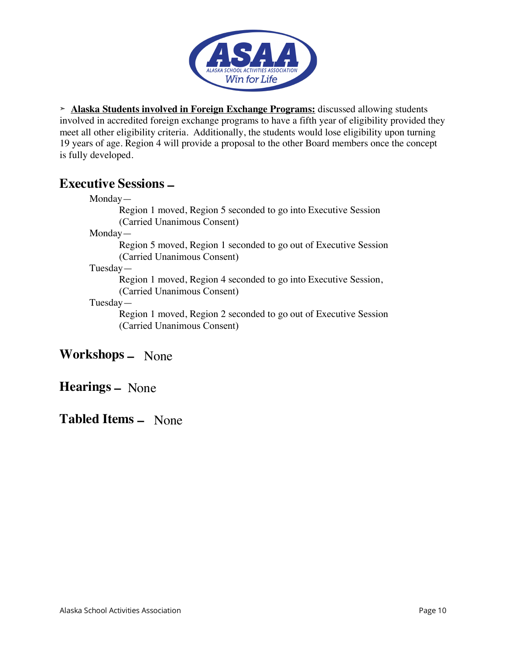

➣ **Alaska Students involved in Foreign Exchange Programs:** discussed allowing students involved in accredited foreign exchange programs to have a fifth year of eligibility provided they meet all other eligibility criteria. Additionally, the students would lose eligibility upon turning 19 years of age. Region 4 will provide a proposal to the other Board members once the concept is fully developed.

### **Executive Sessions –**

Region 1 moved, Region 5 seconded to go into Executive Session (Carried Unanimous Consent)

Monday—

Region 5 moved, Region 1 seconded to go out of Executive Session (Carried Unanimous Consent)

Tuesday—

Region 1 moved, Region 4 seconded to go into Executive Session, (Carried Unanimous Consent)

### Tuesday—

Region 1 moved, Region 2 seconded to go out of Executive Session (Carried Unanimous Consent)

# **Workshops –** None

**Hearings –** None

# **Tabled Items –** None